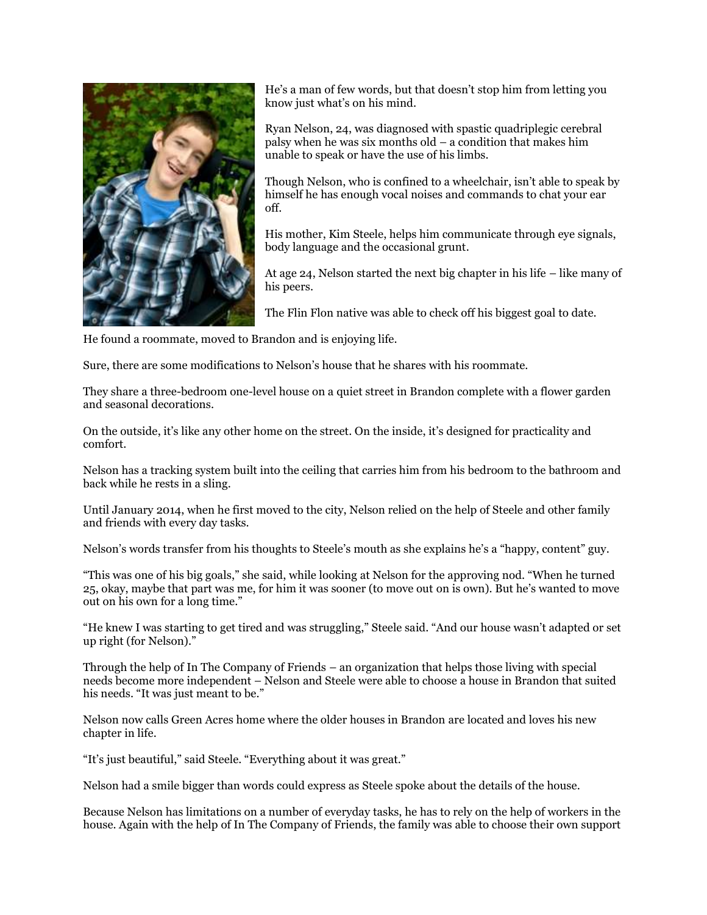

He's a man of few words, but that doesn't stop him from letting you know just what's on his mind.

Ryan Nelson, 24, was diagnosed with spastic quadriplegic cerebral palsy when he was six months old – a condition that makes him unable to speak or have the use of his limbs.

Though Nelson, who is confined to a wheelchair, isn't able to speak by himself he has enough vocal noises and commands to chat your ear off.

His mother, Kim Steele, helps him communicate through eye signals, body language and the occasional grunt.

At age 24, Nelson started the next big chapter in his life – like many of his peers.

The Flin Flon native was able to check off his biggest goal to date.

He found a roommate, moved to Brandon and is enjoying life.

Sure, there are some modifications to Nelson's house that he shares with his roommate.

They share a three-bedroom one-level house on a quiet street in Brandon complete with a flower garden and seasonal decorations.

On the outside, it's like any other home on the street. On the inside, it's designed for practicality and comfort.

Nelson has a tracking system built into the ceiling that carries him from his bedroom to the bathroom and back while he rests in a sling.

Until January 2014, when he first moved to the city, Nelson relied on the help of Steele and other family and friends with every day tasks.

Nelson's words transfer from his thoughts to Steele's mouth as she explains he's a "happy, content" guy.

"This was one of his big goals," she said, while looking at Nelson for the approving nod. "When he turned 25, okay, maybe that part was me, for him it was sooner (to move out on is own). But he's wanted to move out on his own for a long time."

"He knew I was starting to get tired and was struggling," Steele said. "And our house wasn't adapted or set up right (for Nelson)."

Through the help of In The Company of Friends – an organization that helps those living with special needs become more independent – Nelson and Steele were able to choose a house in Brandon that suited his needs. "It was just meant to be."

Nelson now calls Green Acres home where the older houses in Brandon are located and loves his new chapter in life.

"It's just beautiful," said Steele. "Everything about it was great."

Nelson had a smile bigger than words could express as Steele spoke about the details of the house.

Because Nelson has limitations on a number of everyday tasks, he has to rely on the help of workers in the house. Again with the help of In The Company of Friends, the family was able to choose their own support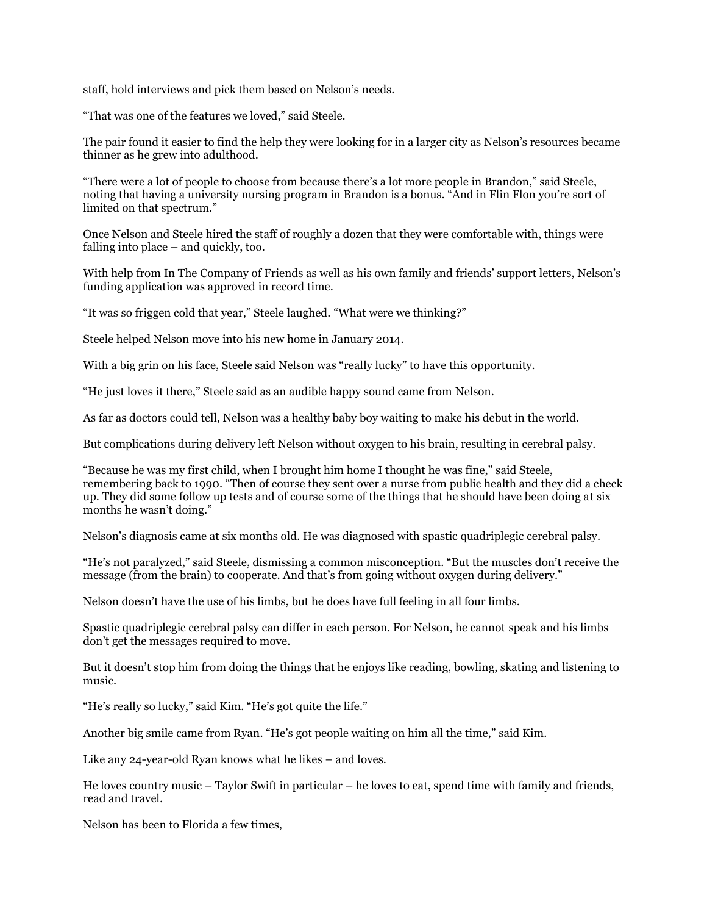staff, hold interviews and pick them based on Nelson's needs.

"That was one of the features we loved," said Steele.

The pair found it easier to find the help they were looking for in a larger city as Nelson's resources became thinner as he grew into adulthood.

"There were a lot of people to choose from because there's a lot more people in Brandon," said Steele, noting that having a university nursing program in Brandon is a bonus. "And in Flin Flon you're sort of limited on that spectrum."

Once Nelson and Steele hired the staff of roughly a dozen that they were comfortable with, things were falling into place – and quickly, too.

With help from In The Company of Friends as well as his own family and friends' support letters, Nelson's funding application was approved in record time.

"It was so friggen cold that year," Steele laughed. "What were we thinking?"

Steele helped Nelson move into his new home in January 2014.

With a big grin on his face, Steele said Nelson was "really lucky" to have this opportunity.

"He just loves it there," Steele said as an audible happy sound came from Nelson.

As far as doctors could tell, Nelson was a healthy baby boy waiting to make his debut in the world.

But complications during delivery left Nelson without oxygen to his brain, resulting in cerebral palsy.

"Because he was my first child, when I brought him home I thought he was fine," said Steele, remembering back to 1990. "Then of course they sent over a nurse from public health and they did a check up. They did some follow up tests and of course some of the things that he should have been doing at six months he wasn't doing."

Nelson's diagnosis came at six months old. He was diagnosed with spastic quadriplegic cerebral palsy.

"He's not paralyzed," said Steele, dismissing a common misconception. "But the muscles don't receive the message (from the brain) to cooperate. And that's from going without oxygen during delivery."

Nelson doesn't have the use of his limbs, but he does have full feeling in all four limbs.

Spastic quadriplegic cerebral palsy can differ in each person. For Nelson, he cannot speak and his limbs don't get the messages required to move.

But it doesn't stop him from doing the things that he enjoys like reading, bowling, skating and listening to music.

"He's really so lucky," said Kim. "He's got quite the life."

Another big smile came from Ryan. "He's got people waiting on him all the time," said Kim.

Like any 24-year-old Ryan knows what he likes – and loves.

He loves country music – Taylor Swift in particular – he loves to eat, spend time with family and friends, read and travel.

Nelson has been to Florida a few times,